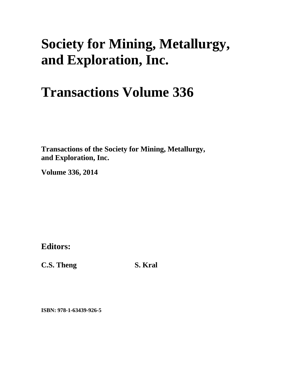# **Society for Mining, Metallurgy, and Exploration, Inc.**

# **Transactions Volume 336**

**Transactions of the Society for Mining, Metallurgy, and Exploration, Inc.** 

**Volume 336, 2014** 

**Editors:** 

**C.S. Theng** S. Kral

**ISBN: 978-1-63439-926-5**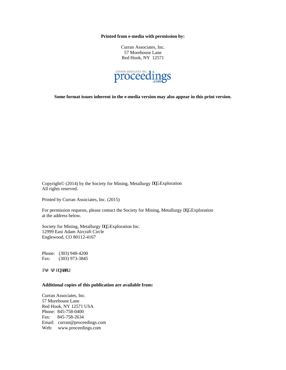**Printed from e-media with permission by:** 

Curran Associates, Inc. 57 Morehouse Lane Red Hook, NY 12571



**Some format issues inherent in the e-media version may also appear in this print version.** 

Copyright© (2014) by the Society for Mining, Metallurgy cpf Exploration All rights reserved.

Printed by Curran Associates, Inc. (2015)

For permission requests, please contact the Society for Mining, Metallurgy cpf Exploration at the address below.

Society for Mining, Metallurgy cpf Exploration Inc. 12999 East Adam Aircraft Circle Englewood, CO 80112-4167

Phone: (303) 948-4200 Fax: (303) 973-3845

euB uo gpgwulti

#### **Additional copies of this publication are available from:**

Curran Associates, Inc. 57 Morehouse Lane Red Hook, NY 12571 USA Phone: 845-758-0400 Fax: 845-758-2634 Email: curran@proceedings.com Web: www.proceedings.com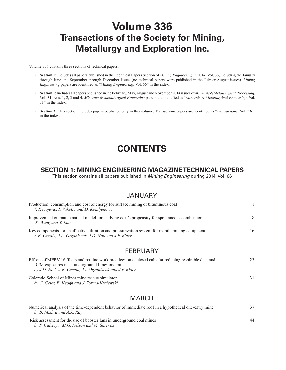# **Volume 336 Transactions of the Society for Mining, Metallurgy and Exploration Inc.**

Volume 336 contains three sections of technical papers:

- **Section 1:** Includes all papers published in the Technical Papers Section of *Mining Engineering* in 2014, Vol. 66, including the January through June and September through December issues (no technical papers were published in the July or August issues). *Mining Engineering* papers are identified as "*Mining Engineering*, Vol. 66" in the index.
- **Section 2:** Includes all papers published in the February, May, August and November 2014 issues of *Minerals & Metallurgical Processing*, Vol. 31, Nos. 1, 2, 3 and 4. *Minerals & Metallurgical Processing* papers are identified as "*Minerals & Metallurgical Processing*, Vol. 31" in the index.
- **Section 3:** This section includes papers published only in this volume. Transactions papers are identified as "*Transactions*, Vol. 336" in the index.

## **CONTENTS**

#### **SECTION 1: MINING ENGINEERING MAGAZINE TECHNICAL PAPERS**

This section contains all papers published in *Mining Engineering* during 2014, Vol. 66

#### JANUARY

| Production, consumption and cost of energy for surface mining of bituminous coal<br>V. Kecojevic, I. Vukotic and D. Komljenovic                                                                                        |    |
|------------------------------------------------------------------------------------------------------------------------------------------------------------------------------------------------------------------------|----|
| Improvement on mathematical model for studying coal's propensity for spontaneous combustion<br>X. Wang and Y. Luo                                                                                                      | 8  |
| Key components for an effective filtration and pressurization system for mobile mining equipment<br>A.B. Cecala, J.A. Organiscak, J.D. Noll and J.P. Rider                                                             | 16 |
| <b>FEBRUARY</b>                                                                                                                                                                                                        |    |
| Effects of MERV 16 filters and routine work practices on enclosed cabs for reducing respirable dust and<br>DPM exposures in an underground limestone mine<br>by J.D. Noll, A.B. Cecala, J.A. Organiscak and J.P. Rider | 23 |
| Colorado School of Mines mine rescue simulator<br>by C. Geier, E. Keogh and J. Torma-Krajewski                                                                                                                         | 31 |

#### MARCH

| Numerical analysis of the time-dependent behavior of immediate roof in a hypothetical one-entry mine | 37 |
|------------------------------------------------------------------------------------------------------|----|
| by B. Mishra and A.K. Ray                                                                            |    |
| Risk assessment for the use of booster fans in underground coal mines                                | 44 |
| by F. Calizaya, M.G. Nelson and M. Shriwas                                                           |    |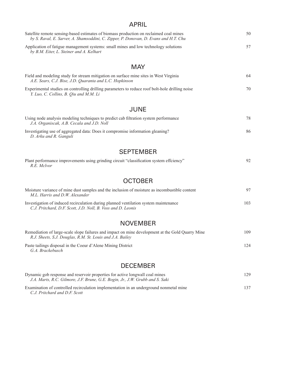#### APRIL

| Satellite remote sensing-based estimates of biomass production on reclaimed coal mines<br>by S. Raval, E. Sarver, A. Shamsoddini, C. Zipper, P. Donovan, D. Evans and H.T. Chu | 50 |
|--------------------------------------------------------------------------------------------------------------------------------------------------------------------------------|----|
| Application of fatigue management systems: small mines and low technology solutions<br>by B.M. Eiter, L. Steiner and A. Kelhart                                                | 57 |

#### **MAY**

| Field and modeling study for stream mitigation on surface mine sites in West Virginia<br>A.E. Sears, C.J. Bise, J.D. Quaranta and L.C. Hopkinson | 64 |
|--------------------------------------------------------------------------------------------------------------------------------------------------|----|
| Experimental studies on controlling drilling parameters to reduce roof bolt-hole drilling noise<br>Y. Luo, C. Collins, B. Qiu and M.M. Li        | 70 |

#### JUNE

| Using node analysis modeling techniques to predict cab filtration system performance<br>J.A. Organiscak, A.B. Cecala and J.D. Noll | 78 |
|------------------------------------------------------------------------------------------------------------------------------------|----|
| Investigating use of aggregated data: Does it compromise information gleaning?<br>D. Arku and R. Ganguli                           | 86 |

#### SEPTEMBER

| Plant performance improvements using grinding circuit "classification system effciency" |  |
|-----------------------------------------------------------------------------------------|--|
| R.E. Mclvor                                                                             |  |

#### **OCTOBER**

| Moisture variance of mine dust samples and the inclusion of moisture as incombustible content<br>M.L. Harris and D.W. Alexander                      | 97  |
|------------------------------------------------------------------------------------------------------------------------------------------------------|-----|
| Investigation of induced recirculation during planned ventilation system maintenance<br>C.J. Pritchard, D.F. Scott, J.D. Noll, B. Voss and D. Leonis | 103 |

#### NOVEMBER

| Remediation of large-scale slope failures and impact on mine development at the Gold Ouarry Mine<br>R.J. Sheets, S.J. Douglas, R.M. St. Louis and J.A. Bailey | 109 |
|---------------------------------------------------------------------------------------------------------------------------------------------------------------|-----|
| Paste tailings disposal in the Coeur d'Alene Mining District<br>G.A. Brackebusch                                                                              | 124 |

#### DECEMBER

| Dynamic gob response and reservoir properties for active longwall coal mines<br>J.A. Marts, R.C. Gilmore, J.F. Brune, G.E. Bogin, Jr., J.W. Grubb and S. Saki | 129 |
|---------------------------------------------------------------------------------------------------------------------------------------------------------------|-----|
| Examination of controlled recirculation implementation in an underground nonmetal mine<br>C.J. Pritchard and D.F. Scott                                       | 137 |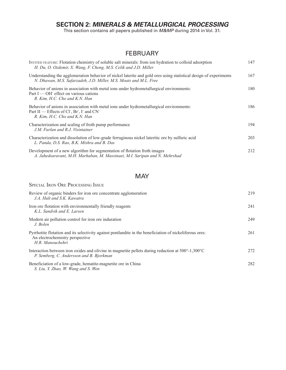### **SECTION 2:** *MINERALS & METALLURGICAL PROCESSING*

This section contains all papers published in *M&MP* during 2014 in Vol. 31.

#### **FEBRUARY**

| INVITED FEATURE: Flotation chemistry of soluble salt minerals: from ion hydration to colloid adsorption<br>H. Du, O. Ozdemir, X. Wang, F. Cheng, M.S. Celik and J.D. Miller                                              | 147 |
|--------------------------------------------------------------------------------------------------------------------------------------------------------------------------------------------------------------------------|-----|
| Understanding the agglomeration behavior of nickel laterite and gold ores using statistical design of experiments<br>N. Dhawan, M.S. Safarzadeh, J.D. Miller, M.S. Moats and M.L. Free                                   | 167 |
| Behavior of anions in association with metal ions under hydrometallurgical environments:<br>Part I — OH effect on various cations<br>R. Kim, H.C. Cho and K.N. Han                                                       | 180 |
| Behavior of anions in association with metal ions under hydrometallurgical environments:<br>Part II — Effects of Cl <sup>-</sup> , Br <sup>-</sup> , I <sup>-</sup> and CN <sup>-</sup><br>R. Kim, H.C. Cho and K.N. Han | 186 |
| Characterization and scaling of froth pump performance<br>J.M. Furlan and R.J. Visintainer                                                                                                                               | 194 |
| Characterization and dissolution of low-grade ferruginous nickel lateritic ore by sulfuric acid<br>L. Panda, D.S. Rao, B.K. Mishra and B. Das                                                                            | 203 |
| Development of a new algorithm for segmentation of flotation froth images<br>A. Jahedsaravani, M.H. Marhaban, M. Massinaei, M.I. Saripan and N. Mehrshad                                                                 | 212 |

#### **MAY**

Special Iron Ore Processing Issue

| Review of organic binders for iron ore concentrate agglomeration<br>J.A. Halt and S.K. Kawatra                                                                     | 219 |
|--------------------------------------------------------------------------------------------------------------------------------------------------------------------|-----|
| Iron ore flotation with environmentally friendly reagents<br>K.L. Sandvik and E. Larsen                                                                            | 241 |
| Modern air pollution control for iron ore induration<br>J. Bolen                                                                                                   | 249 |
| Pyrrhotite flotation and its selectivity against pentlandite in the beneficiation of nickeliferous ores:<br>An electrochemistry perspective<br>H.R. Manouchehri    | 261 |
| Interaction between iron oxides and olivine in magnetite pellets during reduction at $500^{\circ}$ -1,300 $^{\circ}$ C<br>P. Semberg, C. Andersson and B. Bjorkman | 272 |
| Beneficiation of a low-grade, hematite-magnetite ore in China<br>S. Liu, Y. Zhao, W. Wang and S. Wen                                                               | 282 |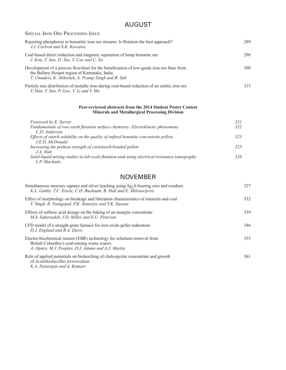### AUGUST

| <b>SPECIAL IRON ORE PROCESSING ISSUE</b>                                                                                                                                                          |     |
|---------------------------------------------------------------------------------------------------------------------------------------------------------------------------------------------------|-----|
| Rejecting phosphorus in hematitic iron ore streams. Is flotation the best approach?<br>J.J. Carlson and S.K. Kawatra                                                                              | 289 |
| Coal-based direct reduction and magnetic separation of lump hematite ore<br>J. Kou, T. Sun, D. Tao, Y. Cao and C. Xu                                                                              | 296 |
| Development of a process flowsheet for the beneficiation of low-grade iron ore fines from<br>the Bellary-Hospet region of Karnataka, India<br>T. Umadevi, K. Abhishek, A. Pratap Singh and R. Sah | 308 |
| Particle size distribution of metallic iron during coal-based reduction of an oolitic iron ore<br>Y. Han, Y. Sun, P. Gao, Y. Li and Y. Mu                                                         | 315 |

#### **Peer-reviewed abstracts from the 2014 Student Poster Contest Minerals and Metallurgical Processing Division**

| Foreword by E. Sarver                                                                          | 321 |
|------------------------------------------------------------------------------------------------|-----|
| Fundamentals of rare earth flotation surface chemistry: Electrokinetic phenomena               | 322 |
| C.D. Anderson                                                                                  |     |
| Effects of starch solubility on the quality of unfired hematite concentrate pellets            | 323 |
| $J E D.$ McDonald                                                                              |     |
| Increasing the preheat strength of cornstarch-bonded pellets                                   | 325 |
| $J.A.$ Halt                                                                                    |     |
| Solid-liquid mixing studies in lab-scale flotation tank using electrical resistance tomography | 326 |
| L.P. Machado                                                                                   |     |

#### NOVEMBER

| Simultaneous mercury capture and silver leaching using Ag <sub>2</sub> S-bearing ores and residues<br>K.L. Gabby. T.C. Eisele, C.H. Bucknam, B. Hall and E. Milosavljevic   | 327 |
|-----------------------------------------------------------------------------------------------------------------------------------------------------------------------------|-----|
| Effect of morphology on breakage and liberation characteristics of minerals and coal<br>V. Singh, R. Venugopal, P.K. Banerjee and V.K. Saxena                               | 332 |
| Effects of sulfuric acid dosage on the baking of an enargite concentrate<br>M.S. Safarzadeh, J.D. Miller and E.U. Petersen                                                  | 339 |
| CFD model of a straight-grate furnace for iron oxide pellet induration<br>D.J. Englund and R.A. Davis                                                                       | 346 |
| Electro-biochemical reactor (EBR) technology for selenium removal from<br>British Columbia's coal-mining waste waters<br>A. Opara, M.J. Peoples, D.J. Adams and A.J. Martin | 355 |
| Role of applied potentials on bioleaching of chalcopyrite concentrate and growth<br>of Acidithiobacillus ferrooxidans<br>K.A. Natarajan and A. Kumari                       | 361 |